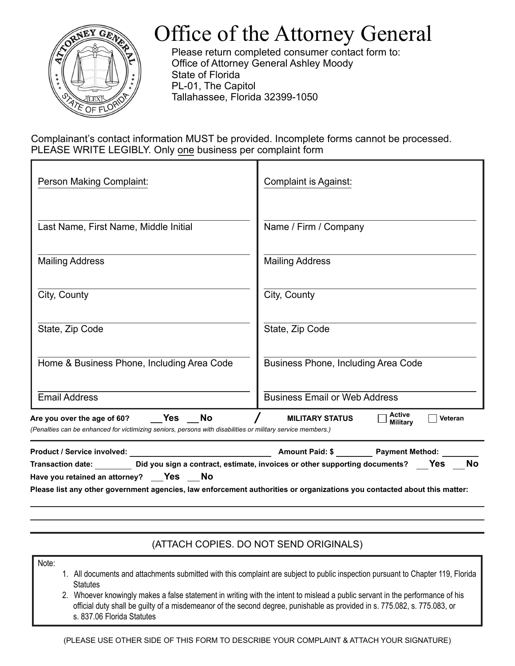

## Office of the Attorney General

Please return completed consumer contact form to: Office of Attorney General Ashley Moody State of Florida PL-01, The Capitol Tallahassee, Florida 32399-1050

Complainant's contact information MUST be provided. Incomplete forms cannot be processed. PLEASE WRITE LEGIBLY. Only one business per complaint form

| <b>Complaint is Against:</b>                                                                                                                                                                                                                                                                    |
|-------------------------------------------------------------------------------------------------------------------------------------------------------------------------------------------------------------------------------------------------------------------------------------------------|
| Name / Firm / Company                                                                                                                                                                                                                                                                           |
| <b>Mailing Address</b>                                                                                                                                                                                                                                                                          |
| City, County                                                                                                                                                                                                                                                                                    |
| State, Zip Code                                                                                                                                                                                                                                                                                 |
| Business Phone, Including Area Code                                                                                                                                                                                                                                                             |
| <b>Business Email or Web Address</b>                                                                                                                                                                                                                                                            |
| Active<br><b>MILITARY STATUS</b><br>Veteran<br><b>Military</b><br>(Penalties can be enhanced for victimizing seniors, persons with disabilities or military service members.)                                                                                                                   |
| Amount Paid: \$ Payment Method:<br>Transaction date: __________ Did you sign a contract, estimate, invoices or other supporting documents? $\qquad$ Yes $\qquad$ No<br>Please list any other government agencies, law enforcement authorities or organizations you contacted about this matter: |
|                                                                                                                                                                                                                                                                                                 |

## (ATTACH COPIES. DO NOT SEND ORIGINALS)

Note:

- 1. All documents and attachments submitted with this complaint are subject to public inspection pursuant to Chapter 119, Florida **Statutes**
- 2. Whoever knowingly makes a false statement in writing with the intent to mislead a public servant in the performance of his official duty shall be guilty of a misdemeanor of the second degree, punishable as provided in s. 775.082, s. 775.083, or s. 837.06 Florida Statutes